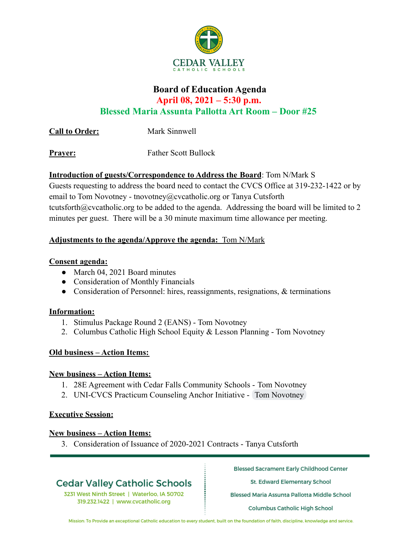

# **Board of Education Agenda April 08, 2021 – 5:30 p.m. Blessed Maria Assunta Pallotta Art Room – Door #25**

**Call to Order:** Mark Sinnwell

**Prayer:** Father Scott Bullock

## **Introduction of guests/Correspondence to Address the Board**: Tom N/Mark S

Guests requesting to address the board need to contact the CVCS Office at 319-232-1422 or by email to Tom Novotney - tnovotney@cvcatholic.org or Tanya Cutsforth tcutsforth@cvcatholic.org to be added to the agenda. Addressing the board will be limited to 2 minutes per guest. There will be a 30 minute maximum time allowance per meeting.

## **Adjustments to the agenda/Approve the agenda:** Tom N/Mark

#### **Consent agenda:**

- March 04, 2021 Board minutes
- Consideration of Monthly Financials
- Consideration of Personnel: hires, reassignments, resignations, & terminations

#### **Information:**

- 1. Stimulus Package Round 2 (EANS) Tom Novotney
- 2. Columbus Catholic High School Equity & Lesson Planning Tom Novotney

#### **Old business – Action Items:**

#### **New business – Action Items:**

- 1. 28E Agreement with Cedar Falls Community Schools Tom Novotney
- 2. UNI-CVCS Practicum Counseling Anchor Initiative Tom Novotney

#### **Executive Session:**

#### **New business – Action Items:**

3. Consideration of Issuance of 2020-2021 Contracts - Tanya Cutsforth

# **Cedar Valley Catholic Schools**

3231 West Ninth Street | Waterloo, IA 50702 319.232.1422 | www.cvcatholic.org

**Blessed Sacrament Early Childhood Center** 

St. Edward Elementary School

Blessed Maria Assunta Pallotta Middle School

**Columbus Catholic High School** 

Mission: To Provide an exceptional Catholic education to every student, built on the foundation of faith, discipline, knowledge and service.